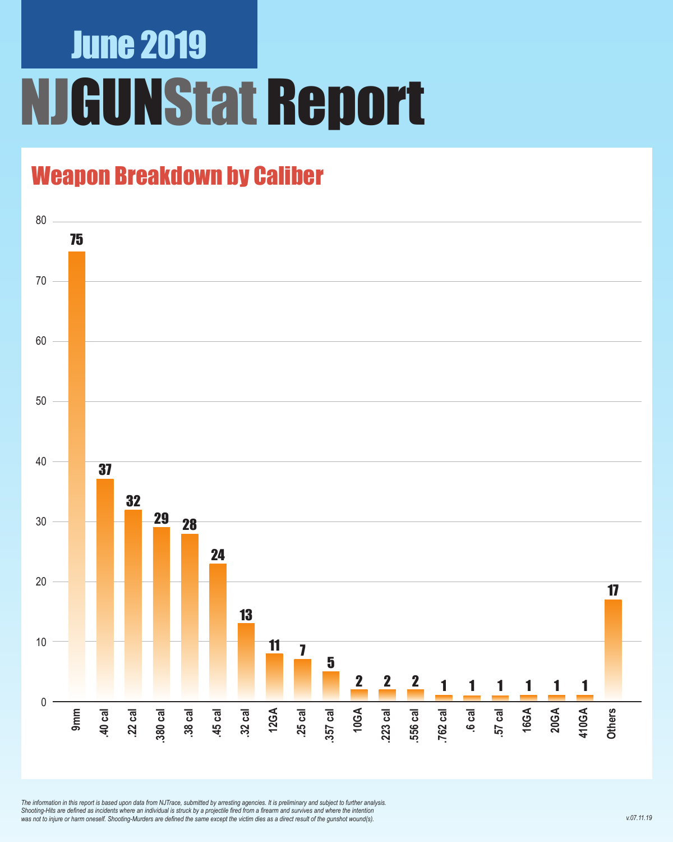## June 2019 **JGUNStat Report**

### Weapon Breakdown by Caliber



*The information in this report is based upon data from NJTrace, submitted by arresting agencies. It is preliminary and subject to further analysis. Shooting-Hits are defined as incidents where an individual is struck by a projectile fired from a firearm and survives and where the intention was not to injure or harm oneself. Shooting-Murders are defined the same except the victim dies as a direct result of the gunshot wound(s).*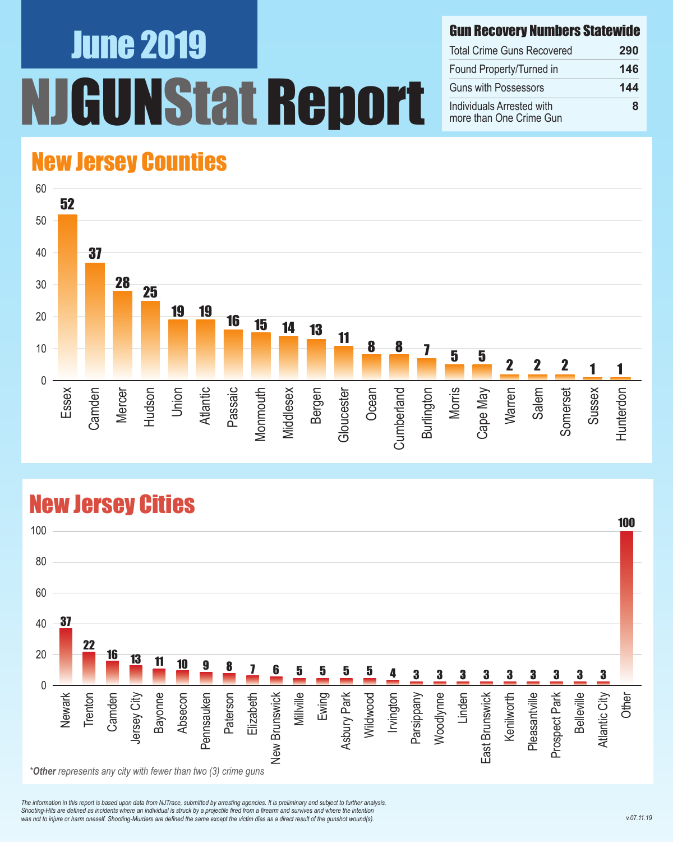# June 2019 NStat Report

#### Gun Recovery Numbers Statewide

| <b>Total Crime Guns Recovered</b>                    | 290 |
|------------------------------------------------------|-----|
| Found Property/Turned in                             | 146 |
| <b>Guns with Possessors</b>                          | 144 |
| Individuals Arrested with<br>more than One Crime Gun | ឧ   |

#### New Jersey Counties



#### New Jersey Cities



*The information in this report is based upon data from NJTrace, submitted by arresting agencies. It is preliminary and subject to further analysis. Shooting-Hits are defined as incidents where an individual is struck by a projectile fired from a firearm and survives and where the intention*  was not to injure or harm oneself. Shooting-Murders are defined the same except the victim dies as a direct result of the gunshot wound(s).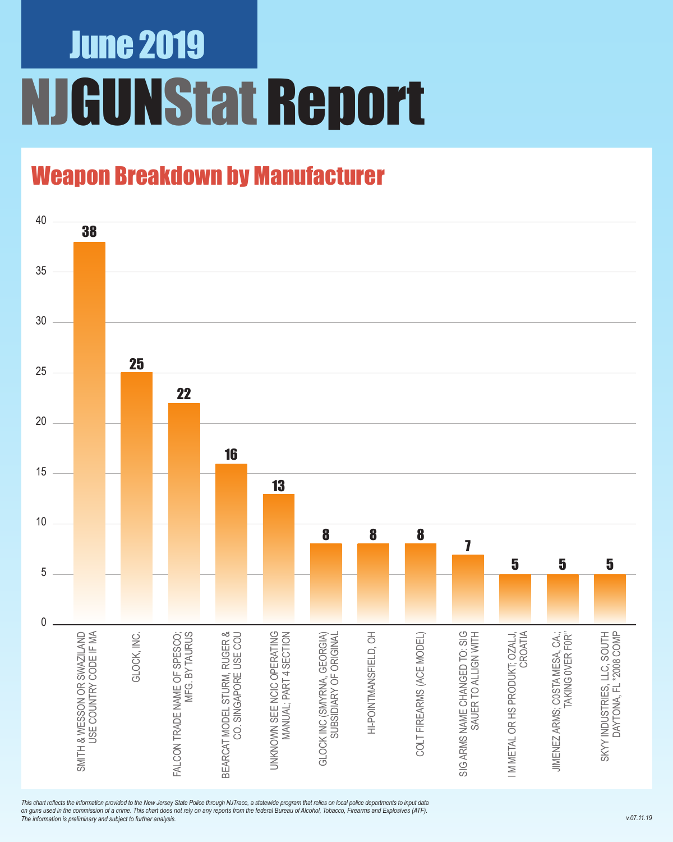## June 2019 NJGUNStat Report

### Weapon Breakdown by Manufacturer



*This chart reflects the information provided to the New Jersey State Police through NJTrace, a statewide program that relies on local police departments to input data on guns used in the commission of a crime. This chart does not rely on any reports from the federal Bureau of Alcohol, Tobacco, Firearms and Explosives (ATF). The information is preliminary and subject to further analysis.*